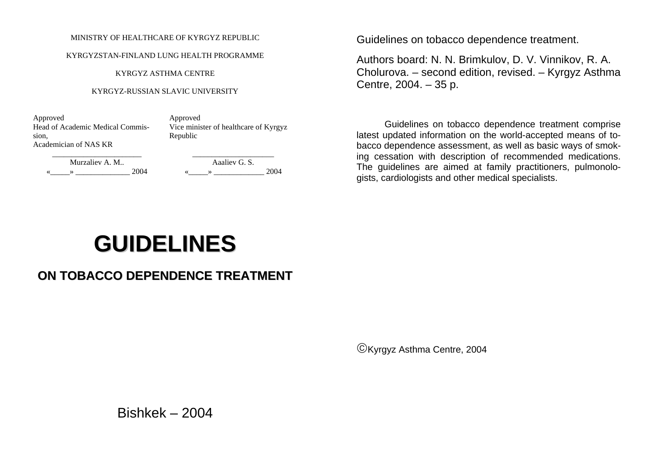#### MINISTRY OF HEALTHCARE OF KYRGYZ REPUBLIC

#### KYRGYZSTAN-FINLAND LUNG HEALTH PROGRAMME

KYRGYZ ASTHMA CENTRE

#### KYRGYZ-RUSSIAN SLAVIC UNIVERSITY

Approved Approved Head of Academic Medical Commission, Academician of NAS KR

Vice minister of healthcare of Kyrgyz Republic

Murzaliev A. M.. Aaaliev G. S.  $\longrightarrow$  2004 ( $\longrightarrow$  2004 ( $\longrightarrow$  2004)

Guidelines on tobacco dependence treatment.

Authors board: N. N. Brimkulov, D. V. Vinnikov, R. A. Cholurova. – second edition, revised. – Kyrgyz Asthma Centre, 2004. – 35 p.

Guidelines on tobacco dependence treatment comprise latest updated information on the world-accepted means of tobacco dependence assessment, as well as basic ways of smoking cessation with description of recommended medications. The guidelines are aimed at family practitioners, pulmonologists, cardiologists and other medical specialists.

# **GUIDELINES**

# **ON TOBACCO DEPENDENCE TREATMENT**

©Kyrgyz Asthma Centre, 2004

Bishkek – 2004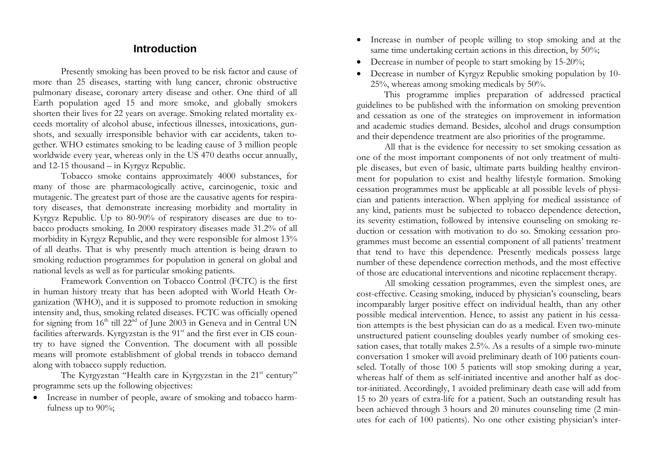## **Introduction**

 Presently smoking has been proved to be risk factor and cause of more than 25 diseases, starting with lung cancer, chronic obstructive pulmonary disease, coronary artery disease and other. One third of all Earth population aged 15 and more smoke, and globally smokers shorten their lives for 22 years on average. Smoking related mortality exceeds mortality of alcohol abuse, infectious illnesses, intoxications, gunshots, and sexually irresponsible behavior with car accidents, taken together. WHO estimates smoking to be leading cause of 3 million people worldwide every year, whereas only in the US 470 deaths occur annually, and 12-15 thousand – in Kyrgyz Republic.

 Tobacco smoke contains approximately 4000 substances, for many of those are pharmacologically active, carcinogenic, toxic and mutagenic. The greatest part of those are the causative agents for respiratory diseases, that demonstrate increasing morbidity and mortality in Kyrgyz Republic. Up to 80-90% of respiratory diseases are due to tobacco products smoking. In 2000 respiratory diseases made 31.2% of all morbidity in Kyrgyz Republic, and they were responsible for almost 13% of all deaths. That is why presently much attention is being drawn to smoking reduction programmes for population in general on global and national levels as well as for particular smoking patients.

Framework Convention on Tobacco Control (FCTC) is the first in human history treaty that has been adopted with World Heath Organization (WHO), and it is supposed to promote reduction in smoking intensity and, thus, smoking related diseases. FCTC was officially opened for signing from  $16<sup>th</sup>$  till  $22<sup>nd</sup>$  of June 2003 in Geneva and in Central UN facilities afterwards. Kyrgyzstan is the  $91<sup>st</sup>$  and the first ever in CIS country to have signed the Convention. The document with all possible means will promote establishment of global trends in tobacco demand along with tobacco supply reduction.

The Kyrgyzstan "Health care in Kyrgyzstan in the 21<sup>st</sup> century" programme sets up the following objectives:

• Increase in number of people, aware of smoking and tobacco harmfulness up to 90%;

- Increase in number of people willing to stop smoking and at the same time undertaking certain actions in this direction, by 50%;
- Decrease in number of people to start smoking by 15-20%;
- Decrease in number of Kyrgyz Republic smoking population by 10- 25%, whereas among smoking medicals by 50%.

This programme implies preparation of addressed practical guidelines to be published with the information on smoking prevention and cessation as one of the strategies on improvement in information and academic studies demand. Besides, alcohol and drugs consumption and their dependence treatment are also priorities of the programme.

 All that is the evidence for necessity to set smoking cessation as one of the most important components of not only treatment of multiple diseases, but even of basic, ultimate parts building healthy environment for population to exist and healthy lifestyle formation. Smoking cessation programmes must be applicable at all possible levels of physician and patients interaction. When applying for medical assistance of any kind, patients must be subjected to tobacco dependence detection, its severity estimation, followed by intensive counseling on smoking reduction or cessation with motivation to do so. Smoking cessation programmes must become an essential component of all patients' treatment that tend to have this dependence. Presently medicals possess large number of these dependence correction methods, and the most effective of those are educational interventions and nicotine replacement therapy.

 All smoking cessation programmes, even the simplest ones, are cost-effective. Ceasing smoking, induced by physician's counseling, bears incomparably larger positive effect on individual health, than any other possible medical intervention. Hence, to assist any patient in his cessation attempts is the best physician can do as a medical. Even two-minute unstructured patient counseling doubles yearly number of smoking cessation cases, that totally makes 2.5%. As a results of a simple two-minute conversation 1 smoker will avoid preliminary death of 100 patients counseled. Totally of those 100 5 patients will stop smoking during a year, whereas half of them as self-initiated incentive and another half as doctor-initiated. Accordingly, 1 avoided preliminary death case will add from 15 to 20 years of extra-life for a patient. Such an outstanding result has been achieved through 3 hours and 20 minutes counseling time (2 minutes for each of 100 patients). No one other existing physician's inter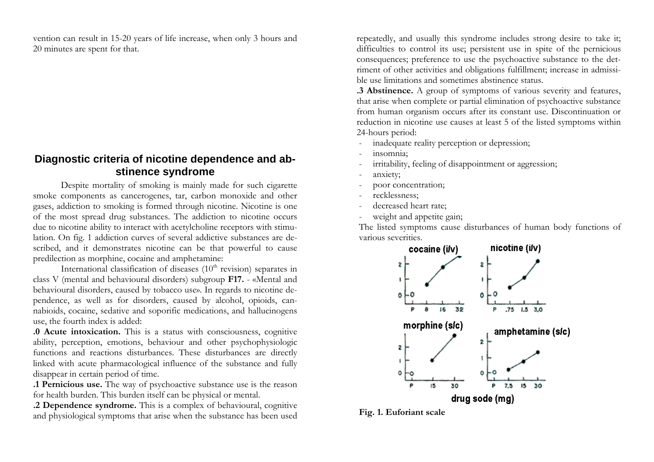vention can result in 15-20 years of life increase, when only 3 hours and 20 minutes are spent for that.

## **Diagnostic criteria of nicotine dependence and abstinence syndrome**

Despite mortality of smoking is mainly made for such cigarette smoke components as cancerogenes, tar, carbon monoxide and other gases, addiction to smoking is formed through nicotine. Nicotine is one of the most spread dru g substances. The addiction to nicotine occurs due to nicotine ability to i nteract with acetylcholine receptors with stimulation. On fig. 1 addiction curves of several addictive substances are described, and it demonstrates nicotine can be that powerful to cause predilection as morphine, cocaine and amphetamine:

International classification of diseases  $(10<sup>th</sup>$  revision) separates in class V (mental and behavioural disorders) subgroup **F17.** - « Mental and behavioural disorders, caused by tobacco use». In regards to nicotine dependence, as well as for disorders, caused by alcohol, opioids, cannabioids, cocaine, sedative and soporific medications, and hallucinogens use, the fourth index is added:

**.0 Acute intoxication.** This is a status with consciousness, cognitive ability, perception, emotions, behaviour and other psychophysiologic functions and reactions disturbances. These disturbances are directly linked with acute pharmacological influence of the substance and fully disappear in certain period of time.

**.1 Pernicious use.** The way of psychoactive substance use is the reason for health burden. This burden itself can be physical or mental.

**.2 Dependence syndro me.** This is a complex of behavioural, cognitive and physiolo gical symptoms that arise when the substance has been used

repeatedly, and usually t his syndrome includes strong desire to take it; difficulties t o control its use; persistent use in spite of the pernicious consequences; preference to use the psychoactive substance to the detriment of other activities and obligations fulfillme nt; increase in admissible use limitations and sometimes abstinence status.

**.3 Abstinence.** A group of symptoms of various severity and features, that arise when complete or partial elimination of psychoactive substance from human organism occurs after its constant use. Discontinuation or reduction in nicotine use causes at least 5 of the listed symptoms within 24-hours period:

- inadequate reality perception or depression;
- insomnia;
- irritability, feeling of disappointment or aggression;
- anxiety;
- poor concentration;
- recklessness;
- decreased heart rate;
- weight and appetite gain;

The listed s ymptoms cause disturbances of human body functions of various severities.



**Fig. 1. Euforiant scale**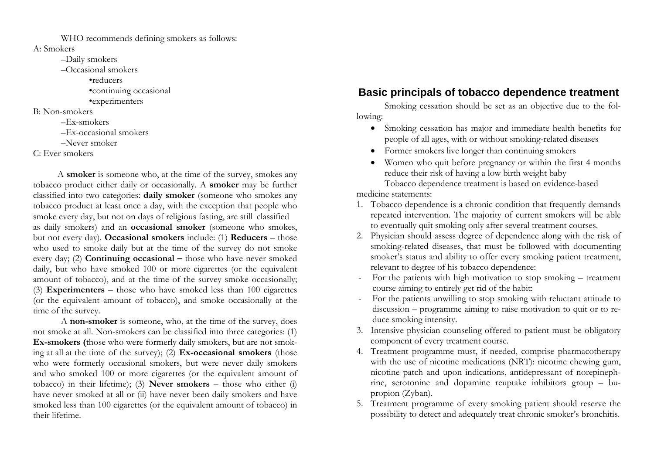WHO recommends defining smokers as follows:

A: Smokers

–Daily smokers

–Occasional smokers

•reducers

•continuing occasional

•experimenters

B: Non-smokers

–Ex-smokers

–Ex-occasional smokers

–Never smoker

#### C: Ever smokers

 A **smoker** is someone who, at the time of the survey, smokes any tobacco product either daily or occasionally. A **smoker** may be further classified into two categories: **daily smoker** (someone who smokes any tobacco product at least once a day, with the exception that people who smoke every day, but not on days of religious fasting, are still classified as daily smokers) and an **occasional smoker** (someone who smokes, but not every day). **Occasional smokers** include: (1) **Reducers** – those who used to smoke daily but at the time of the survey do not smoke every day; (2) **Continuing occasional –** those who have never smoked daily, but who have smoked 100 or more cigarettes (or the equivalent amount of tobacco), and at the time of the survey smoke occasionally; (3) **Experimenters** – those who have smoked less than 100 cigarettes (or the equivalent amount of tobacco), and smoke occasionally at the time of the survey.

 A **non-smoker** is someone, who, at the time of the survey, does not smoke at all. Non-smokers can be classified into three categories: (1) **Ex-smokers (**those who were formerly daily smokers, but are not smoking at all at the time of the survey); (2) **Ex-occasional smokers** (those who were formerly occasional smokers, but were never daily smokers and who smoked 100 or more cigarettes (or the equivalent amount of tobacco) in their lifetime); (3) **Never smokers** – those who either (i) have never smoked at all or (ii) have never been daily smokers and have smoked less than 100 cigarettes (or the equivalent amount of tobacco) in their lifetime.

## **Basic principals of tobacco dependence treatment**

 Smoking cessation should be set as an objective due to the following:

- Smoking cessation has major and immediate health benefits for people of all ages, with or without smoking-related diseases
- Former smokers live longer than continuing smokers
- Women who quit before pregnancy or within the first 4 months reduce their risk of having a low birth weight baby Tobacco dependence treatment is based on evidence-based medicine statements:
- 1. Tobacco dependence is a chronic condition that frequently demands repeated intervention. The majority of current smokers will be able to eventually quit smoking only after several treatment courses.
- 2. Physician should assess degree of dependence along with the risk of smoking-related diseases, that must be followed with documenting smoker's status and ability to offer every smoking patient treatment, relevant to degree of his tobacco dependence:
- For the patients with high motivation to stop smoking treatment course aiming to entirely get rid of the habit:
- For the patients unwilling to stop smoking with reluctant attitude to discussion – programme aiming to raise motivation to quit or to reduce smoking intensity.
- 3. Intensive physician counseling offered to patient must be obligatory component of every treatment course.
- 4. Treatment programme must, if needed, comprise pharmacotherapy with the use of nicotine medications (NRT): nicotine chewing gum, nicotine patch and upon indications, antidepressant of norepinephrine, serotonine and dopamine reuptake inhibitors group – bupropion (Zyban).
- 5. Treatment programme of every smoking patient should reserve the possibility to detect and adequately treat chronic smoker's bronchitis.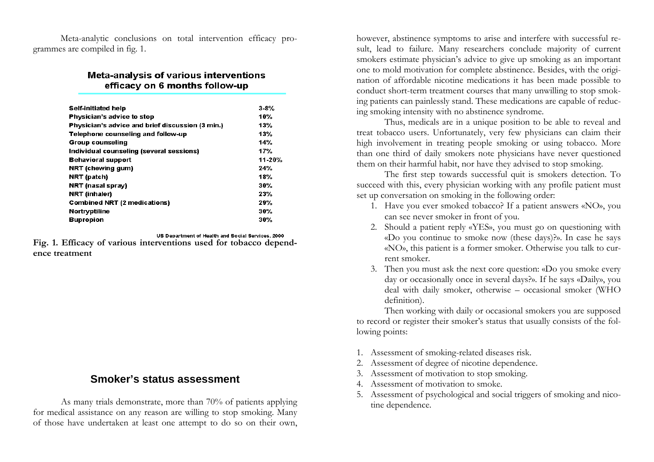Meta-analytic conclusions on total intervention efficacy programmes are compiled in fig. 1.

#### Meta-analysis of various interventions efficacy on 6 months follow-up

| <b>Self-initiated help</b>                       | $3-8%$     |
|--------------------------------------------------|------------|
| Physician's advice to stop                       | 10%        |
| Physician's advice and brief discussion (3 min.) | 13%        |
| Telephone counseling and follow-up               | 13%        |
| <b>Group counseling</b>                          | 14%        |
| Individual counseling (several sessions)         | 17%        |
| <b>Behavioral support</b>                        | $11 - 20%$ |
| NRT (chewing gum)                                | 24%        |
| NRT (patch)                                      | 18%        |
| NRT (nasal spray)                                | 30%        |
| NRT (inhaler)                                    | 23%        |
| <b>Combined NRT (2 medications)</b>              | 29%        |
| <b>Nortryptiline</b>                             | 30%        |
| <b>Bupropion</b>                                 | 30%        |

US Department of Health and Social Services, 2000

**Fig. 1. Efficacy of various interventions used for tobacco dependence treatment**

## **Smoker's status assessment**

As many trials demonstrate, more than 70% of patients applying for medical assistance on any reason are willing to stop smoking. Many of those have undertaken at least one attempt to do so on their own,

however, abstinence symptoms to arise and interfere with successful result, lead to failure. Many researchers conclude majority of current smokers estimate physician's advice to give up smoking as an important one to mold motivation for complete abstinence. Besides, with the origination of affordable nicotine medications it has been made possible to conduct short-term treatment courses that many unwilling to stop smoking patients can painlessly stand. These medications are capable of reducing smoking intensity with no abstinence syndrome.

Thus, medicals are in a unique position to be able to reveal and treat tobacco users. Unfortunately, very few physicians can claim their high involvement in treating people smoking or using tobacco. More than one third of daily smokers note physicians have never questioned them on their harmful habit, nor have they advised to stop smoking.

The first step towards successful quit is smokers detection. To succeed with this, every physician working with any profile patient must set up conversation on smoking in the following order:

- 1. Have you ever smoked tobacco? If a patient answers «NO», you can see never smoker in front of you.
- 2. Should a patient reply «YES», you must go on questioning with «Do you continue to smoke now (these days)?». In case he says «NO», this patient is a former smoker. Otherwise you talk to current smoker.
- 3. Then you must ask the next core question: «Do you smoke every day or occasionally once in several days?». If he says «Daily», you deal with daily smoker, otherwise – occasional smoker (WHO definition).

Then working with daily or occasional smokers you are supposed to record or register their smoker's status that usually consists of the following points:

- 1. Assessment of smoking-related diseases risk.
- 2. Assessment of degree of nicotine dependence.
- 3. Assessment of motivation to stop smoking.
- 4. Assessment of motivation to smoke.
- 5. Assessment of psychological and social triggers of smoking and nicotine dependence.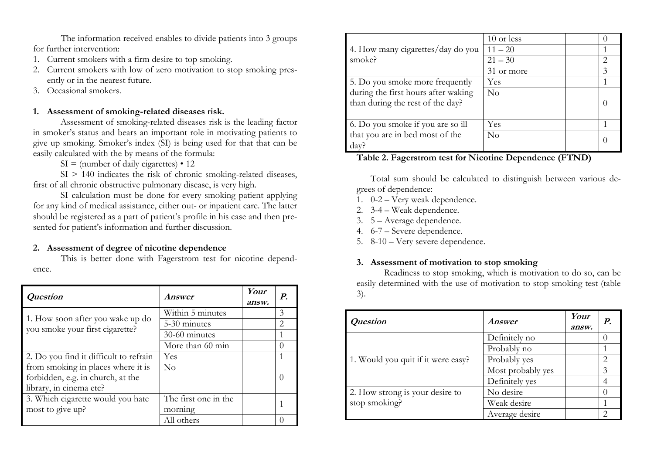The information received enables to divide patients into 3 groups for further intervention:

- 1. Current smokers with a firm desire to top smoking.
- 2. Current smokers with low of zero motivation to stop smoking presently or in the nearest future.
- 3. Occasional smokers.

#### **1. Assessment of smoking-related diseases risk.**

Assessment of smoking-related diseases risk is the leading factor in smoker's status and bears an important role in motivating patients to give up smoking. Smoker's index (SI) is being used for that that can be easily calculated with the by means of the formula:

 $SI = (number of daily eigenettes) \cdot 12$ 

SI > 140 indicates the risk of chronic smoking-related diseases, first of all chronic obstructive pulmonary disease, is very high.

SI calculation must be done for every smoking patient applying for any kind of medical assistance, either out- or inpatient care. The latter should be registered as a part of patient's profile in his case and then presented for patient's information and further discussion.

#### **2. Assessment of degree of nicotine dependence**

This is better done with Fagerstrom test for nicotine dependence.

| <b>Question</b>                                                     | Answer               | Your<br>answ. | P.               |
|---------------------------------------------------------------------|----------------------|---------------|------------------|
|                                                                     | Within 5 minutes     |               | 3                |
| 1. How soon after you wake up do<br>you smoke your first cigarette? | 5-30 minutes         |               | 2                |
|                                                                     | 30-60 minutes        |               |                  |
|                                                                     | More than 60 min     |               | $\left( \right)$ |
| 2. Do you find it difficult to refrain                              | Yes                  |               |                  |
| from smoking in places where it is                                  | $\rm No$             |               |                  |
| forbidden, e.g. in church, at the                                   |                      |               |                  |
| library, in cinema etc?                                             |                      |               |                  |
| 3. Which cigarette would you hate                                   | The first one in the |               |                  |
| most to give up?                                                    | morning              |               |                  |
|                                                                     | All others           |               |                  |

|                                     | 10 or less |                             |
|-------------------------------------|------------|-----------------------------|
| 4. How many cigarettes/day do you   | $11 - 20$  |                             |
| smoke?                              | $21 - 30$  | $\mathcal{D}_{\mathcal{L}}$ |
|                                     | 31 or more | 3                           |
| 5. Do you smoke more frequently     | <b>Yes</b> |                             |
| during the first hours after waking | $\rm No$   |                             |
| than during the rest of the day?    |            |                             |
|                                     |            |                             |
| 6. Do you smoke if you are so ill   | Yes        |                             |
| that you are in bed most of the     | No         |                             |
| dav.                                |            |                             |

#### **Table 2. Fagerstrom test for Nicotine Dependence (FTND)**

Total sum should be calculated to distinguish between various degrees of dependence:

- 1. 0-2 Very weak dependence.
- 2. 3-4 Weak dependence.
- 3. 5 Average dependence.
- 4. 6-7 Severe dependence.
- 5. 8-10 Very severe dependence.

#### **3. Assessment of motivation to stop smoking**

Readiness to stop smoking, which is motivation to do so, can be easily determined with the use of motivation to stop smoking test (table 3).

| Question                           | Answer            | Your<br>answ. | $\boldsymbol{P}$            |
|------------------------------------|-------------------|---------------|-----------------------------|
|                                    | Definitely no     |               |                             |
|                                    | Probably no       |               |                             |
| 1. Would you quit if it were easy? | Probably yes      |               | $\mathcal{D}_{\mathcal{L}}$ |
|                                    | Most probably yes |               | 3                           |
|                                    | Definitely yes    |               |                             |
| 2. How strong is your desire to    | No desire         |               |                             |
| stop smoking?                      | Weak desire       |               |                             |
|                                    | Average desire    |               | $\mathcal{D}_{\mathcal{L}}$ |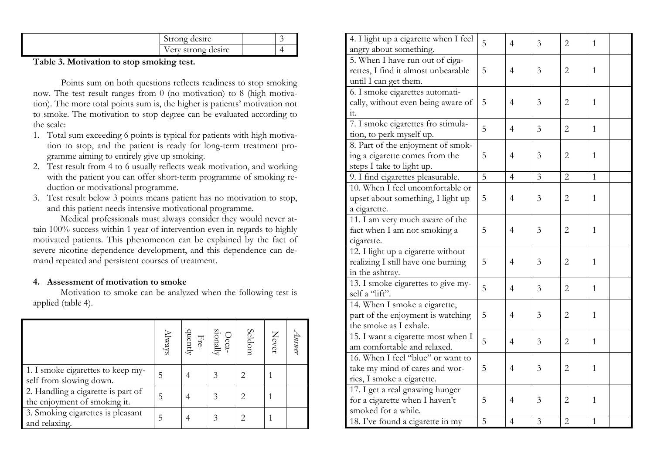| Strong desire                        |  |
|--------------------------------------|--|
| strong desire<br>$. \rho$ ett $\tau$ |  |

**Table 3. Motivation to stop smoking test.** 

 Points sum on both questions reflects readiness to stop smoking now. The test result ranges from 0 (no motivation) to 8 (high motivation). The more total points sum is, the higher is patients' motivation not to smoke. The motivation to stop degree can be evaluated according to the scale:

- 1. Total sum exceeding 6 points is typical for patients with high motivation to stop, and the patient is ready for long-term treatment programme aiming to entirely give up smoking.
- 2. Test result from 4 to 6 usually reflects weak motivation, and working with the patient you can offer short-term programme of smoking reduction or motivational programme.
- 3. Test result below 3 points means patient has no motivation to stop, and this patient needs intensive motivational programme.

Medical professionals must always consider they would never attain 100% success within 1 year of intervention even in regards to highly motivated patients. This phenomenon can be explained by the fact of severe nicotine dependence development, and this dependence can demand repeated and persistent courses of treatment.

#### **4. Assessment of motivation to smoke**

Motivation to smoke can be analyzed when the following test is applied (table 4).

|                                                                    | $\ensuremath{\mathsf{Nmax}}$ | quently | $\frac{\text{Occ}}{\text{Fre}}$ | Seldom | Never | $1$ <i>nswer</i> |
|--------------------------------------------------------------------|------------------------------|---------|---------------------------------|--------|-------|------------------|
| 1. I smoke cigarettes to keep my-<br>self from slowing down.       | 5                            |         |                                 |        |       |                  |
| 2. Handling a cigarette is part of<br>the enjoyment of smoking it. | 5                            |         | 3                               |        |       |                  |
| 3. Smoking cigarettes is pleasant<br>and relaxing.                 | 5                            |         | 3                               |        |       |                  |

| 4. I light up a cigarette when I feel<br>angry about something.                                   | 5              | $\overline{4}$ | 3 | $\overline{2}$ | 1            |
|---------------------------------------------------------------------------------------------------|----------------|----------------|---|----------------|--------------|
| 5. When I have run out of ciga-<br>rettes, I find it almost unbearable<br>until I can get them.   | 5              | $\overline{4}$ | 3 | $\overline{2}$ | $\mathbf{1}$ |
| 6. I smoke cigarettes automati-<br>cally, without even being aware of<br>it.                      | 5              | $\overline{4}$ | 3 | $\overline{2}$ | 1            |
| 7. I smoke cigarettes fro stimula-<br>tion, to perk myself up.                                    | 5              | $\overline{4}$ | 3 | $\overline{2}$ | $\mathbf{1}$ |
| 8. Part of the enjoyment of smok-<br>ing a cigarette comes from the<br>steps I take to light up.  | 5              | $\overline{4}$ | 3 | $\overline{2}$ | 1            |
| 9. I find cigarettes pleasurable.                                                                 | $\overline{5}$ | $\overline{4}$ | 3 | $\overline{2}$ | $\mathbf{1}$ |
| 10. When I feel uncomfortable or<br>upset about something, I light up<br>a cigarette.             | 5              | 4              | 3 | $\overline{2}$ | 1            |
| 11. I am very much aware of the<br>fact when I am not smoking a<br>cigarette.                     | 5              | $\overline{4}$ | 3 | $\overline{2}$ | 1            |
| 12. I light up a cigarette without<br>realizing I still have one burning<br>in the ashtray.       | 5              | 4              | 3 | $\overline{2}$ | 1            |
| 13. I smoke cigarettes to give my-<br>self a "lift".                                              | 5              | $\overline{4}$ | 3 | $\overline{2}$ | 1            |
| 14. When I smoke a cigarette,<br>part of the enjoyment is watching<br>the smoke as I exhale.      | 5              | 4              | 3 | $\overline{2}$ | 1            |
| 15. I want a cigarette most when I<br>am comfortable and relaxed.                                 | 5              | $\overline{4}$ | 3 | $\overline{2}$ | $\mathbf{1}$ |
| 16. When I feel "blue" or want to<br>take my mind of cares and wor-<br>ries, I smoke a cigarette. | 5              | 4              | 3 | $\overline{2}$ | 1            |
| 17. I get a real gnawing hunger<br>for a cigarette when I haven't<br>smoked for a while.          | 5              | 4              | 3 | $\overline{2}$ | 1            |
| 18. I've found a cigarette in my                                                                  | 5              | $\overline{4}$ | 3 | $\sqrt{2}$     | $\mathbf{1}$ |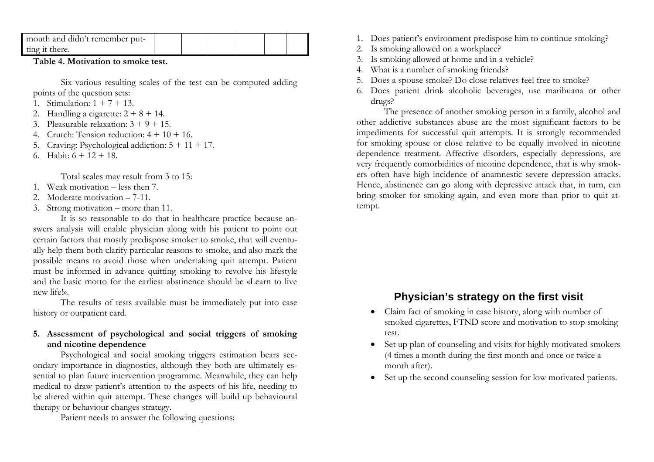| mouth and didn't remember put- |  |  |  |
|--------------------------------|--|--|--|
| ting it there.                 |  |  |  |

**Table 4. Motivation to smoke test.** 

Six various resulting scales of the test can be computed adding points of the question sets:

- 1. Stimulation: 1 + 7 + 13.
- 2. Handling a cigarette:  $2 + 8 + 14$ .
- 3. Pleasurable relaxation: 3 + 9 + 15.
- 4. Crutch: Tension reduction:  $4 + 10 + 16$ .
- 5. Craving: Psychological addiction: 5 + 11 + 17.
- 6. Habit: 6 + 12 + 18.

Total scales may result from 3 to 15:

- 1. Weak motivation less then 7.
- 2. Moderate motivation 7-11.
- 3. Strong motivation more than 11.

It is so reasonable to do that in healthcare practice because answers analysis will enable physician along with his patient to point out certain factors that mostly predispose smoker to smoke, that will eventually help them both clarify particular reasons to smoke, and also mark the possible means to avoid those when undertaking quit attempt. Patient must be informed in advance quitting smoking to revolve his lifestyle and the basic motto for the earliest abstinence should be «Learn to live new life!».

The results of tests available must be immediately put into case history or outpatient card.

#### **5. Assessment of psychological and social triggers of smoking and nicotine dependence**

Psychological and social smoking triggers estimation bears secondary importance in diagnostics, although they both are ultimately essential to plan future intervention programme. Meanwhile, they can help medical to draw patient's attention to the aspects of his life, needing to be altered within quit attempt. These changes will build up behavioural therapy or behaviour changes strategy.

Patient needs to answer the following questions:

- 1. Does patient's environment predispose him to continue smoking?
- 2. Is smoking allowed on a workplace?
- 3. Is smoking allowed at home and in a vehicle?
- 4. What is a number of smoking friends?
- 5. Does a spouse smoke? Do close relatives feel free to smoke?
- 6. Does patient drink alcoholic beverages, use marihuana or other drugs?

The presence of another smoking person in a family, alcohol and other addictive substances abuse are the most significant factors to be impediments for successful quit attempts. It is strongly recommended for smoking spouse or close relative to be equally involved in nicotine dependence treatment. Affective disorders, especially depressions, are very frequently comorbidities of nicotine dependence, that is why smokers often have high incidence of anamnestic severe depression attacks. Hence, abstinence can go along with depressive attack that, in turn, can bring smoker for smoking again, and even more than prior to quit attempt.

## **Physician's strategy on the first visit**

- Claim fact of smoking in case history, along with number of smoked cigarettes, FTND score and motivation to stop smoking test.
- • Set up plan of counseling and visits for highly motivated smokers (4 times a month during the first month and once or twice a month after).
- •Set up the second counseling session for low motivated patients.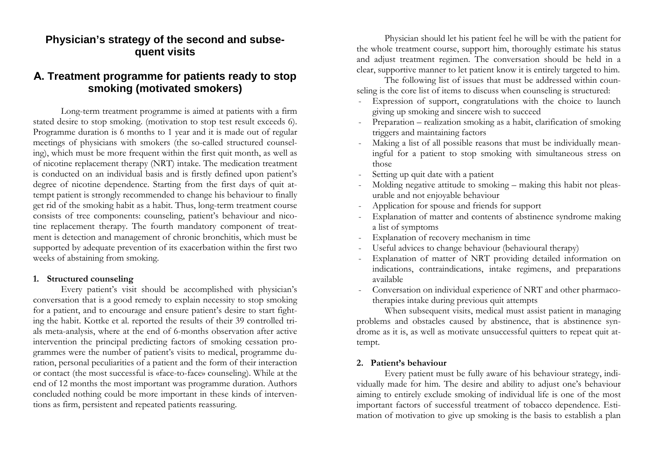## **Physician's strategy of the second and subsequent visits**

## **А. Treatment programme for patients ready to stop smoking (motivated smokers)**

 Long-term treatment programme is aimed at patients with a firm stated desire to stop smoking. (motivation to stop test result exceeds 6). Programme duration is 6 months to 1 year and it is made out of regular meetings of physicians with smokers (the so-called structured counseling), which must be more frequent within the first quit month, as well as of nicotine replacement therapy (NRT) intake. The medication treatment is conducted on an individual basis and is firstly defined upon patient's degree of nicotine dependence. Starting from the first days of quit attempt patient is strongly recommended to change his behaviour to finally get rid of the smoking habit as a habit. Thus, long-term treatment course consists of tree components: counseling, patient's behaviour and nicotine replacement therapy. The fourth mandatory component of treatment is detection and management of chronic bronchitis, which must be supported by adequate prevention of its exacerbation within the first two weeks of abstaining from smoking.

#### **1. Structured counseling**

Every patient's visit should be accomplished with physician's conversation that is a good remedy to explain necessity to stop smoking for a patient, and to encourage and ensure patient's desire to start fighting the habit. Kottke et al. reported the results of their 39 controlled trials meta-analysis, where at the end of 6-months observation after active intervention the principal predicting factors of smoking cessation programmes were the number of patient's visits to medical, programme duration, personal peculiarities of a patient and the form of their interaction or contact (the most successful is «face-to-face» counseling). While at the end of 12 months the most important was programme duration. Authors concluded nothing could be more important in these kinds of interventions as firm, persistent and repeated patients reassuring.

 Physician should let his patient feel he will be with the patient for the whole treatment course, support him, thoroughly estimate his status and adjust treatment regimen. The conversation should be held in a clear, supportive manner to let patient know it is entirely targeted to him.

 The following list of issues that must be addressed within counseling is the core list of items to discuss when counseling is structured:

- Expression of support, congratulations with the choice to launch giving up smoking and sincere wish to succeed
- Preparation realization smoking as a habit, clarification of smoking triggers and maintaining factors
- Making a list of all possible reasons that must be individually meaningful for a patient to stop smoking with simultaneous stress on those
- Setting up quit date with a patient
- Molding negative attitude to smoking making this habit not pleasurable and not enjoyable behaviour
- Application for spouse and friends for support
- Explanation of matter and contents of abstinence syndrome making a list of symptoms
- Explanation of recovery mechanism in time
- Useful advices to change behaviour (behavioural therapy)
- Explanation of matter of NRT providing detailed information on indications, contraindications, intake regimens, and preparations available
- Conversation on individual experience of NRT and other pharmacotherapies intake during previous quit attempts

When subsequent visits, medical must assist patient in managing problems and obstacles caused by abstinence, that is abstinence syndrome as it is, as well as motivate unsuccessful quitters to repeat quit attempt.

#### **2. Patient's behaviour**

Every patient must be fully aware of his behaviour strategy, individually made for him. The desire and ability to adjust one's behaviour aiming to entirely exclude smoking of individual life is one of the most important factors of successful treatment of tobacco dependence. Estimation of motivation to give up smoking is the basis to establish a plan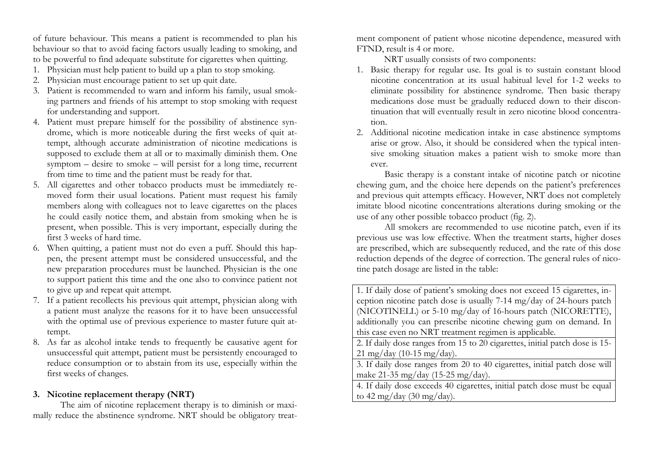of future behaviour. This means a patient is recommended to plan his behaviour so that to avoid facing factors usually leading to smoking, and to be powerful to find adequate substitute for cigarettes when quitting.

- 1. Physician must help patient to build up a plan to stop smoking.
- 2. Physician must encourage patient to set up quit date.
- 3. Patient is recommended to warn and inform his family, usual smoking partners and friends of his attempt to stop smoking with request for understanding and support.
- 4. Patient must prepare himself for the possibility of abstinence syndrome, which is more noticeable during the first weeks of quit attempt, although accurate administration of nicotine medications is supposed to exclude them at all or to maximally diminish them. One symptom – desire to smoke – will persist for a long time, recurrent from time to time and the patient must be ready for that.
- 5. All cigarettes and other tobacco products must be immediately removed form their usual locations. Patient must request his family members along with colleagues not to leave cigarettes on the places he could easily notice them, and abstain from smoking when he is present, when possible. This is very important, especially during the first 3 weeks of hard time.
- 6. When quitting, a patient must not do even a puff. Should this happen, the present attempt must be considered unsuccessful, and the new preparation procedures must be launched. Physician is the one to support patient this time and the one also to convince patient not to give up and repeat quit attempt.
- 7. If a patient recollects his previous quit attempt, physician along with a patient must analyze the reasons for it to have been unsuccessful with the optimal use of previous experience to master future quit attempt.
- 8. As far as alcohol intake tends to frequently be causative agent for unsuccessful quit attempt, patient must be persistently encouraged to reduce consumption or to abstain from its use, especially within the first weeks of changes.

#### **3. Nicotine replacement therapy (NRT)**

The aim of nicotine replacement therapy is to diminish or maximally reduce the abstinence syndrome. NRT should be obligatory treatment component of patient whose nicotine dependence, measured with<br>FTND, result is 4 or more.<br>NRT usually consists of two components:<br>1. Basic therapy for regular use. Its goal is to sustain constant blood

- nicotine concentration at its usual habitual level for 1-2 weeks to eliminate possibility for abstinence syndrome. Then basic therapy medications dose must be gradually reduced down to their discontinuation that will eventually result in zero nicotine blood concentra tion.<br>2. Additional nicotine medication intake in case abstinence symptoms
- arise or grow. Also, it should be considered when the typical inten-

sive smoking situation makes a patient wish to smoke more than<br>ever.<br>Basic therapy is a constant intake of nicotine patch or nicotine<br>chewing gum, and the choice here depends on the patient's preferences<br>and previous quit

tine patch dosage are listed in the table:<br>
1. If daily dose of patient's smoking does not exceed 15 cigarettes, in-

ception nicotine patch dose is usually 7-14 mg/day of 24-hours patch<br>(NICOTINELL) or 5-10 mg/day of 16-hours patch (NICORETTE),<br>additionally you can prescribe nicotine chewing gum on demand. In<br>this case even no NRT treatm

21 mg/day (10-15 mg/day).<br>3. If daily dose ranges from 20 to 40 cigarettes, initial patch dose will<br>make 21-35 mg/day (15-25 mg/day).<br>4. If daily dose exceeds 40 cigarettes, initial patch dose must be equal<br>to 42 mg/day (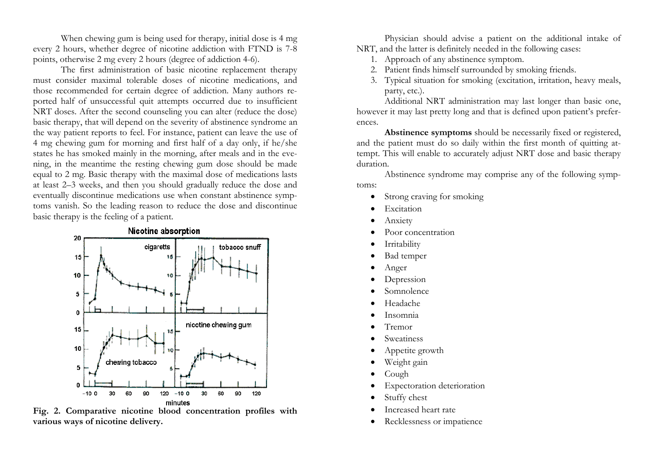When chewing gum is being used for therapy, initial dose is 4 mg every 2 hours, whether degree of nicotine addiction with FTND is 7-8 points, otherwise 2 mg every 2 hours (degree of addiction 4-6).

The first administration of basic nicotine replacement therapy must consider maximal tolerable doses of nicotine medications, and those recommended for certain degree of addiction. Many authors reported half of unsuccessful quit attempts occurred due to insufficient NRT doses. After the second counseling you can alter (reduce the dose) basic therapy, that will depend on the severity of abstinence syndrome an the way patient reports to feel. For instance, patient can leave the use of 4 mg chewing gum for morning and first half of a day only, if he/she states he has smoked mainly in the morning, after meals and in the evening, in the meantime the resting chewing gum dose should be made equal to 2 mg. Basic therapy with the maximal dose of medications lasts at least 2–3 weeks, and then you should gradually reduce the dose and eventually discontinue medications use when constant abstinence symptoms vanish. So the leading reason to reduce the dose and discontinue basic therapy is the feeling of a patient.



**Fig. 2. Comparative nicotine blood concentration profiles with various ways of nicotine delivery.** 

Physician should advise a patient on the additional intake of NRT, and the latter is definitely needed in the following cases:

- 1. Approach of any abstinence symptom.
- 2. Patient finds himself surrounded by smoking friends.
- 3. Typical situation for smoking (excitation, irritation, heavy meals, party, etc.).

Additional NRT administration may last longer than basic one, however it may last pretty long and that is defined upon patient's preferences.

**Abstinence symptoms** should be necessarily fixed or registered, and the patient must do so daily within the first month of quitting attempt. This will enable to accurately adjust NRT dose and basic therapy duration.

Abstinence syndrome may comprise any of the following symptoms:

- •Strong craving for smoking
- •Excitation
- •Anxiety
- •Poor concentration
- •Irritability
- •Bad temper
- •Anger
- •Depression
- •Somnolence
- •Headache
- •Insomnia
- •Tremor
- •Sweatiness
- •Appetite growth
- •Weight gain
- •Cough
- •Expectoration deterioration
- •Stuffy chest
- •Increased heart rate
- •Recklessness or impatience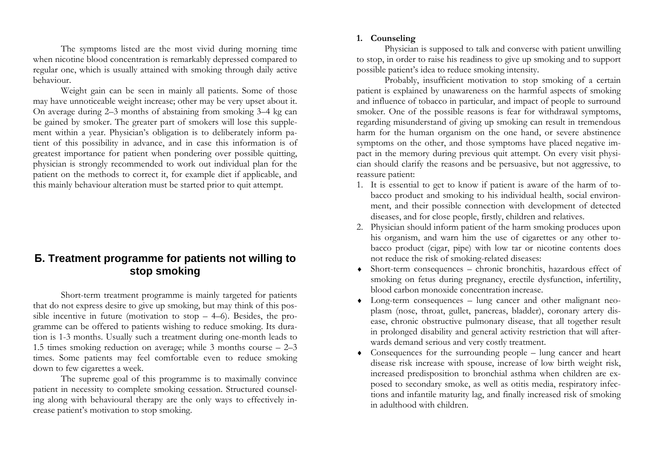The symptoms listed are the most vivid during morning time when nicotine blood concentration is remarkably depressed compared to regular one, which is usually attained with smoking through daily active behaviour.

Weight gain can be seen in mainly all patients. Some of those may have unnoticeable weight increase; other may be very upset about it. On average during 2–3 months of abstaining from smoking 3–4 kg can be gained by smoker. The greater part of smokers will lose this supplement within a year. Physician's obligation is to deliberately inform patient of this possibility in advance, and in case this information is of greatest importance for patient when pondering over possible quitting, physician is strongly recommended to work out individual plan for the patient on the methods to correct it, for example diet if applicable, and this mainly behaviour alteration must be started prior to quit attempt.

## **Б. Treatment programme for patients not willing to stop smoking**

Short-term treatment programme is mainly targeted for patients that do not express desire to give up smoking, but may think of this possible incentive in future (motivation to stop  $-$  4–6). Besides, the programme can be offered to patients wishing to reduce smoking. Its duration is 1-3 months. Usually such a treatment during one-month leads to 1.5 times smoking reduction on average; while 3 months course – 2–3 times. Some patients may feel comfortable even to reduce smoking down to few cigarettes a week.

The supreme goal of this programme is to maximally convince patient in necessity to complete smoking cessation. Structured counseling along with behavioural therapy are the only ways to effectively increase patient's motivation to stop smoking.

#### **1. Counseling**

Physician is supposed to talk and converse with patient unwilling to stop, in order to raise his readiness to give up smoking and to support possible patient's idea to reduce smoking intensity.

Probably, insufficient motivation to stop smoking of a certain patient is explained by unawareness on the harmful aspects of smoking and influence of tobacco in particular, and impact of people to surround smoker. One of the possible reasons is fear for withdrawal symptoms, regarding misunderstand of giving up smoking can result in tremendous harm for the human organism on the one hand, or severe abstinence symptoms on the other, and those symptoms have placed negative impact in the memory during previous quit attempt. On every visit physician should clarify the reasons and be persuasive, but not aggressive, to reassure patient:

- 1. It is essential to get to know if patient is aware of the harm of tobacco product and smoking to his individual health, social environment, and their possible connection with development of detected diseases, and for close people, firstly, children and relatives.
- 2. Physician should inform patient of the harm smoking produces upon his organism, and warn him the use of cigarettes or any other tobacco product (cigar, pipe) with low tar or nicotine contents does not reduce the risk of smoking-related diseases:
- ♦ Short-term consequences chronic bronchitis, hazardous effect of smoking on fetus during pregnancy, erectile dysfunction, infertility, blood carbon monoxide concentration increase.
- ♦ Long-term consequences lung cancer and other malignant neoplasm (nose, throat, gullet, pancreas, bladder), coronary artery disease, chronic obstructive pulmonary disease, that all together result in prolonged disability and general activity restriction that will afterwards demand serious and very costly treatment.
- ♦ Consequences for the surrounding people lung cancer and heart disease risk increase with spouse, increase of low birth weight risk, increased predisposition to bronchial asthma when children are exposed to secondary smoke, as well as otitis media, respiratory infections and infantile maturity lag, and finally increased risk of smoking in adulthood with children.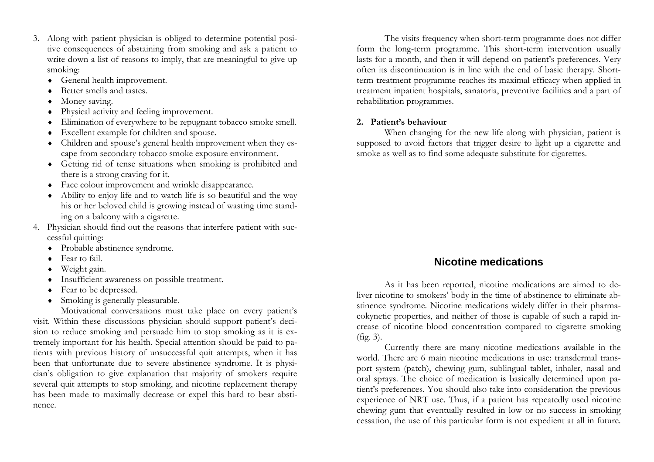- 3. Along with patient physician is obliged to determine potential positive consequences of abstaining from smoking and ask a patient to write down a list of reasons to imply, that are meaningful to give up smoking:
	- ♦General health improvement.
	- ♦Better smells and tastes.
	- ♦Money saving.
	- ♦Physical activity and feeling improvement.
	- ♦Elimination of everywhere to be repugnant tobacco smoke smell.
	- ♦Excellent example for children and spouse.
	- ♦ Children and spouse's general health improvement when they escape from secondary tobacco smoke exposure environment.
	- ♦ Getting rid of tense situations when smoking is prohibited and there is a strong craving for it.
	- ♦ Face colour improvement and wrinkle disappearance.
	- ♦ Ability to enjoy life and to watch life is so beautiful and the way his or her beloved child is growing instead of wasting time standing on a balcony with a cigarette.
- 4. Physician should find out the reasons that interfere patient with successful quitting:
	- ♦ Probable abstinence syndrome.
	- ♦ Fear to fail.
	- ♦ Weight gain.
	- ♦ Insufficient awareness on possible treatment.
	- ♦ Fear to be depressed.
	- ♦ Smoking is generally pleasurable.

Motivational conversations must take place on every patient's visit. Within these discussions physician should support patient's decision to reduce smoking and persuade him to stop smoking as it is extremely important for his health. Special attention should be paid to patients with previous history of unsuccessful quit attempts, when it has been that unfortunate due to severe abstinence syndrome. It is physician's obligation to give explanation that majority of smokers require several quit attempts to stop smoking, and nicotine replacement therapy has been made to maximally decrease or expel this hard to bear abstinence.

The visits frequency when short-term programme does not differ form the long-term programme. This short-term intervention usually lasts for a month, and then it will depend on patient's preferences. Very often its discontinuation is in line with the end of basic therapy. Shortterm treatment programme reaches its maximal efficacy when applied in treatment inpatient hospitals, sanatoria, preventive facilities and a part of rehabilitation programmes.

#### **2. Patient's behaviour**

When changing for the new life along with physician, patient is supposed to avoid factors that trigger desire to light up a cigarette and smoke as well as to find some adequate substitute for cigarettes.

## **Nicotine medications**

As it has been reported, nicotine medications are aimed to deliver nicotine to smokers' body in the time of abstinence to eliminate abstinence syndrome. Nicotine medications widely differ in their pharmacokynetic properties, and neither of those is capable of such a rapid increase of nicotine blood concentration compared to cigarette smoking (fig. 3).

Currently there are many nicotine medications available in the world. There are 6 main nicotine medications in use: transdermal transport system (patch), chewing gum, sublingual tablet, inhaler, nasal and oral sprays. The choice of medication is basically determined upon patient's preferences. You should also take into consideration the previous experience of NRT use. Thus, if a patient has repeatedly used nicotine chewing gum that eventually resulted in low or no success in smoking cessation, the use of this particular form is not expedient at all in future.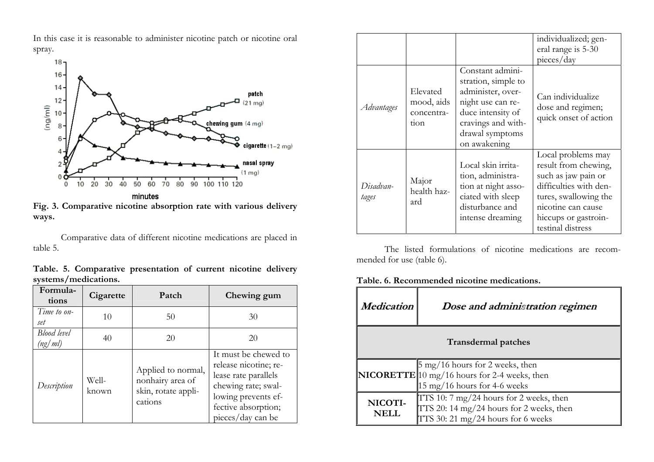In this case it is reasonable to administer nicotine patch or nicotine oral spray.



**Fig. 3. Comparative nicotine absorption rate with various delivery ways.** 

Comparative data of different nicotine medications are placed in table 5.

**Table. 5. Comparative presentation of current nicotine delivery systems/medications.** 

| Formula-<br>tions      | Cigarette      | Patch                                                                    | Chewing gum                                                                                                                                                     |
|------------------------|----------------|--------------------------------------------------------------------------|-----------------------------------------------------------------------------------------------------------------------------------------------------------------|
| Time to on-<br>set     | 10             | 50                                                                       | 30                                                                                                                                                              |
| Blood level<br>(ng/ml) | 40             | 20                                                                       | 20                                                                                                                                                              |
| Description            | Well-<br>known | Applied to normal,<br>nonhairy area of<br>skin, rotate appli-<br>cations | It must be chewed to<br>release nicotine; re-<br>lease rate parallels<br>chewing rate; swal-<br>lowing prevents ef-<br>fective absorption;<br>pieces/day can be |

|                    |                                              |                                                                                                                                                                 | individualized; gen-<br>eral range is 5-30<br>pieces/day                                                                                                                                |
|--------------------|----------------------------------------------|-----------------------------------------------------------------------------------------------------------------------------------------------------------------|-----------------------------------------------------------------------------------------------------------------------------------------------------------------------------------------|
| Advantages         | Elevated<br>mood, aids<br>concentra-<br>tion | Constant admini-<br>stration, simple to<br>administer, over-<br>night use can re-<br>duce intensity of<br>cravings and with-<br>drawal symptoms<br>on awakening | Can individualize<br>dose and regimen;<br>quick onset of action                                                                                                                         |
| Disadvan-<br>tages | Major<br>health haz-<br>ard                  | Local skin irrita-<br>tion, administra-<br>tion at night asso-<br>ciated with sleep<br>disturbance and<br>intense dreaming                                      | Local problems may<br>result from chewing,<br>such as jaw pain or<br>difficulties with den-<br>tures, swallowing the<br>nicotine can cause<br>hiccups or gastroin-<br>testinal distress |

The listed formulations of nicotine medications are recommended for use (table 6).

**Table. 6. Recommended nicotine medications.** 

| Medication                                                                                                                                         | Dose and administration regimen                                                                                           |  |  |  |
|----------------------------------------------------------------------------------------------------------------------------------------------------|---------------------------------------------------------------------------------------------------------------------------|--|--|--|
|                                                                                                                                                    | <b>Transdermal patches</b>                                                                                                |  |  |  |
| $\frac{5 \text{ mg}}{16}$ hours for 2 weeks, then<br><b>NICORETTE</b> 10 mg/16 hours for 2-4 weeks, then<br>$15 \text{ mg}/16$ hours for 4-6 weeks |                                                                                                                           |  |  |  |
| NICOTI-<br>NELL.                                                                                                                                   | TTS 10: 7 mg/24 hours for 2 weeks, then<br>TTS 20: 14 mg/24 hours for 2 weeks, then<br>TTS 30: 21 mg/24 hours for 6 weeks |  |  |  |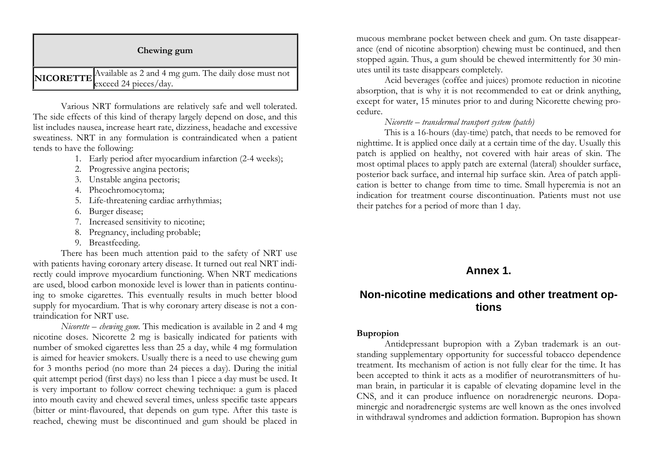| Chewing gum                                                                             |
|-----------------------------------------------------------------------------------------|
| NICORETTE Available as 2 and 4 mg gum. The daily dose must not<br>exceed 24 pieces/day. |

Various NRT formulations are relatively safe and well tolerated. The side effects of this kind of therapy largely depend on dose, and this list includes nausea, increase heart rate, dizziness, headache and excessive sweatiness. NRT in any formulation is contraindicated when a patient tends to have the following:

- 1. Early period after myocardium infarction (2-4 weeks);
- 2. Progressive angina pectoris;
- 3. Unstable angina pectoris;
- 4. Pheochromocytoma;
- 5. Life-threatening cardiac arrhythmias;
- 6. Burger disease;
- 7. Increased sensitivity to nicotine;
- 8. Pregnancy, including probable;
- 9. Breastfeeding.

There has been much attention paid to the safety of NRT use with patients having coronary artery disease. It turned out real NRT indirectly could improve myocardium functioning. When NRT medications are used, blood carbon monoxide level is lower than in patients continuing to smoke cigarettes. This eventually results in much better blood supply for myocardium. That is why coronary artery disease is not a contraindication for NRT use.

*Nicorette – chewing gum*. This medication is available in 2 and 4 mg nicotine doses. Nicorette 2 mg is basically indicated for patients with number of smoked cigarettes less than 25 a day, while 4 mg formulation is aimed for heavier smokers. Usually there is a need to use chewing gum for 3 months period (no more than 24 pieces a day). During the initial quit attempt period (first days) no less than 1 piece a day must be used. It is very important to follow correct chewing technique: a gum is placed into mouth cavity and chewed several times, unless specific taste appears (bitter or mint-flavoured, that depends on gum type. After this taste is reached, chewing must be discontinued and gum should be placed in

mucous membrane pocket between cheek and gum. On taste disappearance (end of nicotine absorption) chewing must be continued, and then stopped again. Thus, a gum should be chewed intermittently for 30 minutes until its taste disappears completely.

Acid beverages (coffee and juices) promote reduction in nicotine absorption, that is why it is not recommended to eat or drink anything, except for water, 15 minutes prior to and during Nicorette chewing procedure.

#### *Nicorette – transdermal transport system (patch)*

This is a 16-hours (day-time) patch, that needs to be removed for nighttime. It is applied once daily at a certain time of the day. Usually this patch is applied on healthy, not covered with hair areas of skin. The most optimal places to apply patch are external (lateral) shoulder surface, posterior back surface, and internal hip surface skin. Area of patch application is better to change from time to time. Small hyperemia is not an indication for treatment course discontinuation. Patients must not use their patches for a period of more than 1 day.

## **Annex 1.**

## **Non-nicotine medications and other treatment options**

#### **Bupropion**

 Antidepressant bupropion with a Zyban trademark is an outstanding supplementary opportunity for successful tobacco dependence treatment. Its mechanism of action is not fully clear for the time. It has been accepted to think it acts as a modifier of neurotransmitters of human brain, in particular it is capable of elevating dopamine level in the CNS, and it can produce influence on noradrenergic neurons. Dopaminergic and noradrenergic systems are well known as the ones involved in withdrawal syndromes and addiction formation. Bupropion has shown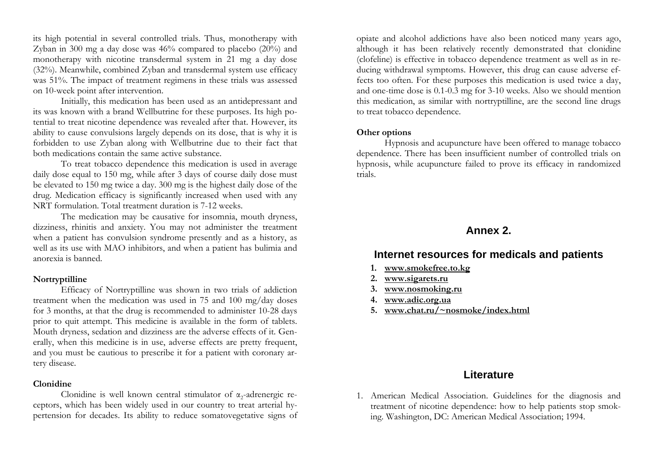its high potential in several controlled trials. Thus, monotherapy with Zyban in 300 mg a day dose was 46% compared to placebo (20%) and monotherapy with nicotine transdermal system in 21 mg a day dose (32%). Meanwhile, combined Zyban and transdermal system use efficacy was 51%. The impact of treatment regimens in these trials was assessed on 10-week point after intervention.

Initially, this medication has been used as an antidepressant and its was known with a brand Wellbutrine for these purposes. Its high potential to treat nicotine dependence was revealed after that. However, its ability to cause convulsions largely depends on its dose, that is why it is forbidden to use Zyban along with Wellbutrine due to their fact that both medications contain the same active substance.

 To treat tobacco dependence this medication is used in average daily dose equal to 150 mg, while after 3 days of course daily dose must be elevated to 150 mg twice a day. 300 mg is the highest daily dose of the drug. Medication efficacy is significantly increased when used with any NRT formulation. Total treatment duration is 7-12 weeks.

 The medication may be causative for insomnia, mouth dryness, dizziness, rhinitis and anxiety. You may not administer the treatment when a patient has convulsion syndrome presently and as a history, as well as its use with MAO inhibitors, and when a patient has bulimia and anorexia is banned.

#### **Nortryptilline**

 Efficacy of Nortryptilline was shown in two trials of addiction treatment when the medication was used in 75 and 100 mg/day doses for 3 months, at that the drug is recommended to administer 10-28 days prior to quit attempt. This medicine is available in the form of tablets. Mouth dryness, sedation and dizziness are the adverse effects of it. Generally, when this medicine is in use, adverse effects are pretty frequent, and you must be cautious to prescribe it for a patient with coronary artery disease.

#### **Clonidine**

Clonidine is well known central stimulator of  $\alpha_2$ -adrenergic receptors, which has been widely used in our country to treat arterial hypertension for decades. Its ability to reduce somatovegetative signs of

opiate and alcohol addictions have also been noticed many years ago, although it has been relatively recently demonstrated that clonidine (clofeline) is effective in tobacco dependence treatment as well as in reducing withdrawal symptoms. However, this drug can cause adverse effects too often. For these purposes this medication is used twice a day, and one-time dose is 0.1-0.3 mg for 3-10 weeks. Also we should mention this medication, as similar with nortryptilline, are the second line drugs to treat tobacco dependence.

#### **Other options**

 Hypnosis and acupuncture have been offered to manage tobacco dependence. There has been insufficient number of controlled trials on hypnosis, while acupuncture failed to prove its efficacy in randomized trials.

#### **Annex 2.**

#### **Internet resources for medicals and patients**

- **1. [www.smokefree.to.kg](http://www.smokefree.to.kg/)**
- **2.[www.sigarets.ru](http://www.sigarets.ru/)**
- **3. [www.nosmoking.ru](http://www.nosmoking.ru/)**
- **4. [www.adic.org.ua](http://www.adic.org.ua/)**
- **5. [www.chat.ru/~nosmoke/index.html](http://www.chat.ru/~nosmoke/index.html)**

## **Literature**

1. American Medical Association. Guidelines for the diagnosis and treatment of nicotine dependence: how to help patients stop smoking. Washington, DC: American Medical Association; 1994.